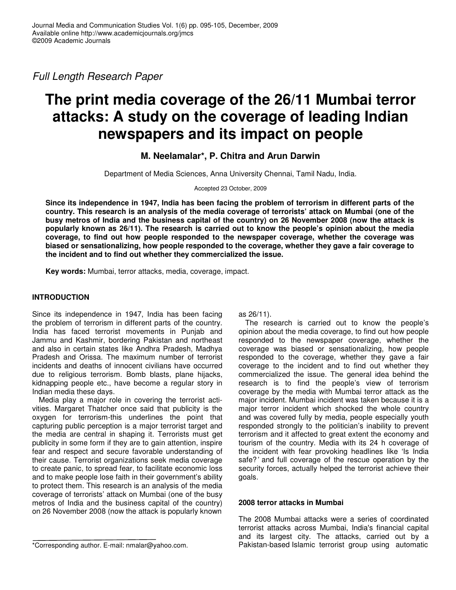*Full Length Research Paper*

# **The print media coverage of the 26/11 Mumbai terror attacks: A study on the coverage of leading Indian newspapers and its impact on people**

**M. Neelamalar\*, P. Chitra and Arun Darwin**

Department of Media Sciences, Anna University Chennai, Tamil Nadu, India.

Accepted 23 October, 2009

Since its independence in 1947, India has been facing the problem of terrorism in different parts of the country. This research is an analysis of the media coverage of terrorists' attack on Mumbai (one of the busy metros of India and the business capital of the country) on 26 November 2008 (now the attack is **popularly known as 26/11). The research is carried out to know the people's opinion about the media coverage, to find out how people responded to the newspaper coverage, whether the coverage was biased or sensationalizing, how people responded to the coverage, whether they gave a fair coverage to the incident and to find out whether they commercialized the issue.**

**Key words:** Mumbai, terror attacks, media, coverage, impact.

# **INTRODUCTION**

Since its independence in 1947, India has been facing the problem of terrorism in different parts of the country. India has faced terrorist movements in Punjab and Jammu and Kashmir, bordering Pakistan and northeast and also in certain states like Andhra Pradesh, Madhya Pradesh and Orissa. The maximum number of terrorist incidents and deaths of innocent civilians have occurred due to religious terrorism. Bomb blasts, plane hijacks, kidnapping people etc., have become a regular story in Indian media these days.

Media play a major role in covering the terrorist activities. Margaret Thatcher once said that publicity is the oxygen for terrorism-this underlines the point that capturing public perception is a major terrorist target and the media are central in shaping it. Terrorists must get publicity in some form if they are to gain attention, inspire fear and respect and secure favorable understanding of their cause. Terrorist organizations seek media coverage to create panic, to spread fear, to facilitate economic loss and to make people lose faith in their government's ability to protect them. This research is an analysis of the media coverage of terrorists' attack on Mumbai (one of the busy metros of India and the business capital of the country) on 26 November 2008 (now the attack is popularly known

\*Corresponding author. E-mail: nmalar@yahoo.com.

as 26/11).

The research is carried out to know the people's opinion about the media coverage, to find out how people responded to the newspaper coverage, whether the coverage was biased or sensationalizing, how people responded to the coverage, whether they gave a fair coverage to the incident and to find out whether they commercialized the issue. The general idea behind the research is to find the people's view of terrorism coverage by the media with Mumbai terror attack as the major incident. Mumbai incident was taken because it is a major terror incident which shocked the whole country and was covered fully by media, people especially youth responded strongly to the politician's inability to prevent terrorism and it affected to great extent the economy and tourism of the country. Media with its 24 h coverage of the incident with fear provoking headlines like 'Is India safe?*'* and full coverage of the rescue operation by the security forces, actually helped the terrorist achieve their goals.

# **2008 terror attacks in Mumbai**

The 2008 Mumbai attacks were a series of coordinated terrorist attacks across Mumbai, India's financial capital and its largest city. The attacks, carried out by a Pakistan-based Islamic terrorist group using automatic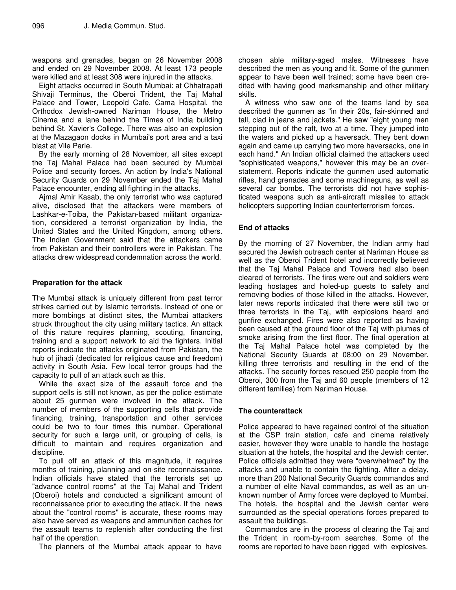weapons and grenades, began on 26 November 2008 and ended on 29 November 2008. At least 173 people were killed and at least 308 were injured in the attacks.

Eight attacks occurred in South Mumbai: at Chhatrapati Shivaji Terminus, the Oberoi Trident, the Taj Mahal Palace and Tower, Leopold Cafe, Cama Hospital, the Orthodox Jewish-owned Nariman House, the Metro Cinema and a lane behind the Times of India building behind St. Xavier's College. There was also an explosion at the Mazagaon docks in Mumbai's port area and a taxi blast at Vile Parle.

By the early morning of 28 November, all sites except the Taj Mahal Palace had been secured by Mumbai Police and security forces. An action by India's National Security Guards on 29 November ended the Taj Mahal Palace encounter, ending all fighting in the attacks.

Ajmal Amir Kasab, the only terrorist who was captured alive, disclosed that the attackers were members of Lashkar-e-Toiba, the Pakistan-based militant organization, considered a terrorist organization by India, the United States and the United Kingdom, among others. The Indian Government said that the attackers came from Pakistan and their controllers were in Pakistan. The attacks drew widespread condemnation across the world.

# **Preparation for the attack**

The Mumbai attack is uniquely different from past terror strikes carried out by Islamic terrorists. Instead of one or more bombings at distinct sites, the Mumbai attackers struck throughout the city using military tactics. An attack of this nature requires planning, scouting, financing, training and a support network to aid the fighters. Initial reports indicate the attacks originated from Pakistan, the hub of jihadi (dedicated for religious cause and freedom) activity in South Asia. Few local terror groups had the capacity to pull of an attack such as this.

While the exact size of the assault force and the support cells is still not known, as per the police estimate about 25 gunmen were involved in the attack. The number of members of the supporting cells that provide financing, training, transportation and other services could be two to four times this number. Operational security for such a large unit, or grouping of cells, is difficult to maintain and requires organization and discipline.

To pull off an attack of this magnitude, it requires months of training, planning and on-site reconnaissance. Indian officials have stated that the terrorists set up "advance control rooms" at the Taj Mahal and Trident (Oberoi) hotels and conducted a significant amount of reconnaissance prior to executing the attack. If the news about the "control rooms" is accurate, these rooms may also have served as weapons and ammunition caches for the assault teams to replenish after conducting the first half of the operation.

The planners of the Mumbai attack appear to have

chosen able military-aged males. Witnesses have described the men as young and fit. Some of the gunmen appear to have been well trained; some have been credited with having good marksmanship and other military skills.

A witness who saw one of the teams land by sea described the gunmen as "in their 20s, fair-skinned and tall, clad in jeans and jackets." He saw "eight young men stepping out of the raft, two at a time. They jumped into the waters and picked up a haversack. They bent down again and came up carrying two more haversacks, one in each hand." An Indian official claimed the attackers used "sophisticated weapons," however this may be an overstatement. Reports indicate the gunmen used automatic rifles, hand grenades and some machineguns, as well as several car bombs. The terrorists did not have sophisticated weapons such as anti-aircraft missiles to attack helicopters supporting Indian counterterrorism forces.

# **End of attacks**

By the morning of 27 November, the Indian army had secured the Jewish outreach center at Nariman House as well as the Oberoi Trident hotel and incorrectly believed that the Taj Mahal Palace and Towers had also been cleared of terrorists. The fires were out and soldiers were leading hostages and holed-up guests to safety and removing bodies of those killed in the attacks. However, later news reports indicated that there were still two or three terrorists in the Taj, with explosions heard and gunfire exchanged. Fires were also reported as having been caused at the ground floor of the Taj with plumes of smoke arising from the first floor. The final operation at the Taj Mahal Palace hotel was completed by the National Security Guards at 08:00 on 29 November, killing three terrorists and resulting in the end of the attacks. The security forces rescued 250 people from the Oberoi, 300 from the Taj and 60 people (members of 12 different families) from Nariman House.

## **The counterattack**

Police appeared to have regained control of the situation at the CSP train station, cafe and cinema relatively easier, however they were unable to handle the hostage situation at the hotels, the hospital and the Jewish center. Police officials admitted they were "overwhelmed" by the attacks and unable to contain the fighting. After a delay, more than 200 National Security Guards commandos and a number of elite Naval commandos, as well as an unknown number of Army forces were deployed to Mumbai. The hotels, the hospital and the Jewish center were surrounded as the special operations forces prepared to assault the buildings.

Commandos are in the process of clearing the Taj and the Trident in room-by-room searches. Some of the rooms are reported to have been rigged with explosives.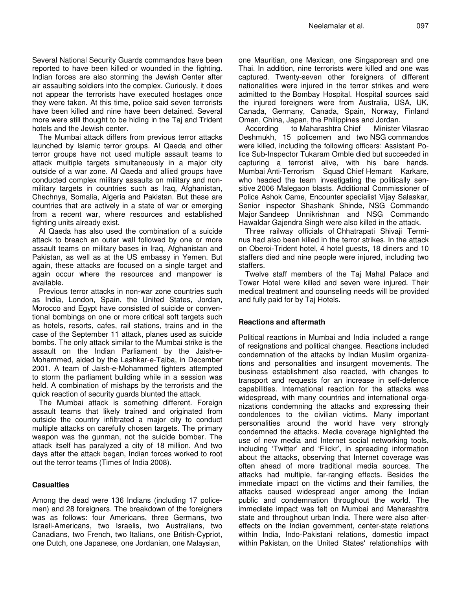Several National Security Guards commandos have been reported to have been killed or wounded in the fighting. Indian forces are also storming the Jewish Center after air assaulting soldiers into the complex. Curiously, it does not appear the terrorists have executed hostages once they were taken. At this time, police said seven terrorists have been killed and nine have been detained. Several more were still thought to be hiding in the Taj and Trident hotels and the Jewish center.

The Mumbai attack differs from previous terror attacks launched by Islamic terror groups. Al Qaeda and other terror groups have not used multiple assault teams to attack multiple targets simultaneously in a major city outside of a war zone. Al Qaeda and allied groups have conducted complex military assaults on military and nonmilitary targets in countries such as Iraq, Afghanistan, Chechnya, Somalia, Algeria and Pakistan. But these are countries that are actively in a state of war or emerging from a recent war, where resources and established fighting units already exist.

Al Qaeda has also used the combination of a suicide attack to breach an outer wall followed by one or more assault teams on military bases in Iraq, Afghanistan and Pakistan, as well as at the US embassy in Yemen. But again, these attacks are focused on a single target and again occur where the resources and manpower is available.

Previous terror attacks in non-war zone countries such as India, London, Spain, the United States, Jordan, Morocco and Egypt have consisted of suicide or conventional bombings on one or more critical soft targets such as hotels, resorts, cafes, rail stations, trains and in the case of the September 11 attack, planes used as suicide bombs. The only attack similar to the Mumbai strike is the assault on the Indian Parliament by the Jaish-e-Mohammed, aided by the Lashkar-e-Taiba, in December 2001. A team of Jaish-e-Mohammed fighters attempted to storm the parliament building while in a session was held. A combination of mishaps by the terrorists and the quick reaction of security guards blunted the attack.

The Mumbai attack is something different. Foreign assault teams that likely trained and originated from outside the country infiltrated a major city to conduct multiple attacks on carefully chosen targets. The primary weapon was the gunman, not the suicide bomber. The attack itself has paralyzed a city of 18 million. And two days after the attack began, Indian forces worked to root out the terror teams (Times of India 2008).

## **Casualties**

Among the dead were 136 Indians (including 17 policemen) and 28 foreigners. The breakdown of the foreigners was as follows: four Americans, three Germans, two Israeli-Americans, two Israelis, two Australians, two Canadians, two French, two Italians, one British-Cypriot, one Dutch, one Japanese, one Jordanian, one Malaysian,

one Mauritian, one Mexican, one Singaporean and one Thai. In addition, nine terrorists were killed and one was captured. Twenty-seven other foreigners of different nationalities were injured in the terror strikes and were admitted to the Bombay Hospital. Hospital sources said the injured foreigners were from Australia, USA, UK, Canada, Germany, Canada, Spain, Norway, Finland Oman, China, Japan, the Philippines and Jordan.

According to Maharashtra Chief Minister Vilasrao Deshmukh, 15 policemen and two NSG commandos were killed, including the following officers: Assistant Police Sub-Inspector Tukaram Omble died but succeeded in capturing a terrorist alive, with his bare hands. Mumbai Anti-Terrorism Squad Chief Hemant Karkare, who headed the team investigating the politically sensitive 2006 Malegaon blasts. Additional Commissioner of Police Ashok Came, Encounter specialist Vijay Salaskar, Senior inspector Shashank Shinde, NSG Commando Major Sandeep Unnikrishnan and NSG Commando Hawaldar Gajendra Singh were also killed in the attack.

Three railway officials of Chhatrapati Shivaji Terminus had also been killed in the terror strikes. In the attack on Oberoi-Trident hotel, 4 hotel guests, 18 diners and 10 staffers died and nine people were injured, including two staffers.

Twelve staff members of the Taj Mahal Palace and Tower Hotel were killed and seven were injured. Their medical treatment and counseling needs will be provided and fully paid for by Taj Hotels.

# **Reactions and aftermath**

Political reactions in Mumbai and India included a range of resignations and political changes. Reactions included condemnation of the attacks by Indian Muslim organizations and personalities and insurgent movements. The business establishment also reacted, with changes to transport and requests for an increase in self-defence capabilities. International reaction for the attacks was widespread, with many countries and international organizations condemning the attacks and expressing their condolences to the civilian victims. Many important personalities around the world have very strongly condemned the attacks. Media coverage highlighted the use of new media and Internet social networking tools, including 'Twitter' and 'Flickr', in spreading information about the attacks, observing that Internet coverage was often ahead of more traditional media sources. The attacks had multiple, far-ranging effects. Besides the immediate impact on the victims and their families, the attacks caused widespread anger among the Indian public and condemnation throughout the world. The immediate impact was felt on Mumbai and Maharashtra state and throughout urban India. There were also aftereffects on the Indian government, center-state relations within India, Indo-Pakistani relations, domestic impact within Pakistan, on the United States' relationships with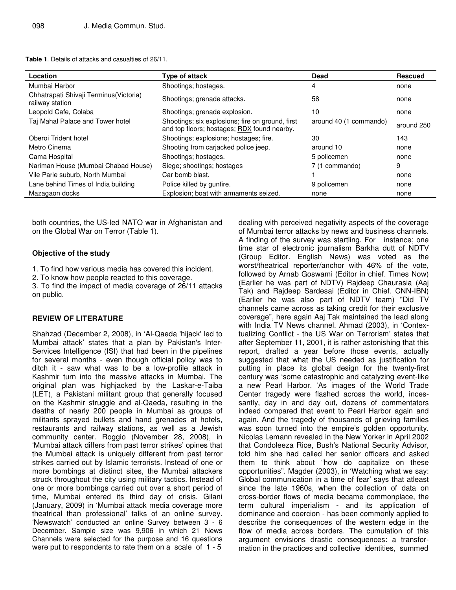|  | <b>Table 1.</b> Details of attacks and casualties of 26/11. |  |  |  |  |  |
|--|-------------------------------------------------------------|--|--|--|--|--|
|--|-------------------------------------------------------------|--|--|--|--|--|

| Location                                                   | Type of attack                                                                                  | <b>Dead</b>            | <b>Rescued</b> |
|------------------------------------------------------------|-------------------------------------------------------------------------------------------------|------------------------|----------------|
| Mumbai Harbor                                              | Shootings: hostages.                                                                            | 4                      | none           |
| Chhatrapati Shivaji Terminus (Victoria)<br>railway station | Shootings; grenade attacks.                                                                     | 58                     | none           |
| Leopold Cafe, Colaba                                       | Shootings; grenade explosion.                                                                   | 10                     | none           |
| Taj Mahal Palace and Tower hotel                           | Shootings; six explosions; fire on ground, first<br>and top floors; hostages; RDX found nearby. | around 40 (1 commando) | around 250     |
| Oberoi Trident hotel                                       | Shootings; explosions; hostages; fire.                                                          | 30                     | 143            |
| Metro Cinema                                               | Shooting from carjacked police jeep.                                                            | around 10              | none           |
| Cama Hospital                                              | Shootings; hostages.                                                                            | 5 policemen            | none           |
| Nariman House (Mumbai Chabad House)                        | Siege; shootings; hostages                                                                      | 7 (1 commando)         | 9              |
| Vile Parle suburb, North Mumbai                            | Car bomb blast.                                                                                 |                        | none           |
| Lane behind Times of India building                        | Police killed by gunfire.                                                                       | 9 policemen            | none           |
| Mazagaon docks                                             | Explosion; boat with armaments seized.                                                          | none                   | none           |

both countries, the US-led NATO war in Afghanistan and on the Global War on Terror (Table 1).

# **Objective of the study**

- 1. To find how various media has covered this incident.
- 2. To know how people reacted to this coverage.
- 3. To find the impact of media coverage of 26/11 attacks on public.

## **REVIEW OF LITERATURE**

Shahzad (December 2, 2008), in 'Al-Qaeda 'hijack' led to Mumbai attack' states that a plan by Pakistan's Inter-Services Intelligence (ISI) that had been in the pipelines for several months - even though official policy was to ditch it - saw what was to be a low-profile attack in Kashmir turn into the massive attacks in Mumbai. The original plan was highjacked by the Laskar-e-Taiba (LET), a Pakistani militant group that generally focused on the Kashmir struggle and al-Qaeda, resulting in the deaths of nearly 200 people in Mumbai as groups of militants sprayed bullets and hand grenades at hotels, restaurants and railway stations, as well as a Jewish community center. Roggio (November 28, 2008), in 'Mumbai attack differs from past terror strikes' opines that the Mumbai attack is uniquely different from past terror strikes carried out by Islamic terrorists. Instead of one or more bombings at distinct sites, the Mumbai attackers struck throughout the city using military tactics. Instead of one or more bombings carried out over a short period of time, Mumbai entered its third day of crisis. Gilani (January, 2009) in 'Mumbai attack media coverage more theatrical than professional' talks of an online survey. 'Newswatch' conducted an online Survey between 3 - 6 December. Sample size was 9,906 in which 21 News Channels were selected for the purpose and 16 questions were put to respondents to rate them on a scale of 1 - 5

dealing with perceived negativity aspects of the coverage of Mumbai terror attacks by news and business channels. A finding of the survey was startling. For instance; one time star of electronic journalism Barkha dutt of NDTV (Group Editor. English News) was voted as the worst/theatrical reporter/anchor with 46% of the vote, followed by Arnab Goswami (Editor in chief. Times Now) (Earlier he was part of NDTV) Rajdeep Chaurasia (Aaj Tak) and Rajdeep Sardesai (Editor in Chief. CNN-IBN) (Earlier he was also part of NDTV team) "Did TV channels came across as taking credit for their exclusive coverage", here again Aaj Tak maintained the lead along with India TV News channel. Ahmad (2003), in 'Contextualizing Conflict - the US War on Terrorism' states that after September 11, 2001, it is rather astonishing that this report, drafted a year before those events, actually suggested that what the US needed as justification for putting in place its global design for the twenty-first century was 'some catastrophic and catalyzing event-like a new Pearl Harbor. 'As images of the World Trade Center tragedy were flashed across the world, incessantly, day in and day out, dozens of commentators indeed compared that event to Pearl Harbor again and again. And the tragedy of thousands of grieving families was soon turned into the empire's golden opportunity. Nicolas Lemann revealed in the New Yorker in April 2002 that Condoleeza Rice, Bush's National Security Advisor, told him she had called her senior officers and asked them to think about "how do capitalize on these opportunities". Magder (2003), in 'Watching what we say: Global communication in a time of fear' says that atleast since the late 1960s, when the collection of data on cross-border flows of media became commonplace, the term cultural imperialism - and its application of dominance and coercion - has been commonly applied to describe the consequences of the western edge in the flow of media across borders. The cumulation of this argument envisions drastic consequences: a transformation in the practices and collective identities, summed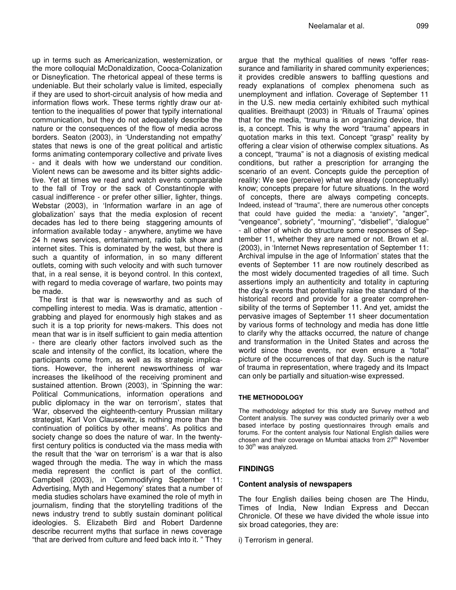up in terms such as Americanization, westernization, or the more colloquial McDonaldization, Cooca-Colanization or Disneyfication. The rhetorical appeal of these terms is undeniable. But their scholarly value is limited, especially if they are used to short-circuit analysis of how media and information flows work. These terms rightly draw our attention to the inequalities of power that typify international communication, but they do not adequately describe the nature or the consequences of the flow of media across borders. Seaton (2003), in 'Understanding not empathy' states that news is one of the great political and artistic forms animating contemporary collective and private lives - and it deals with how we understand our condition. Violent news can be awesome and its bitter sights addictive. Yet at times we read and watch events comparable to the fall of Troy or the sack of Constantinople with casual indifference - or prefer other sillier, lighter, things. Webstar (2003), in 'Information warfare in an age of globalization' says that the media explosion of recent decades has led to there being staggering amounts of information available today - anywhere, anytime we have 24 h news services, entertainment, radio talk show and internet sites. This is dominated by the west, but there is such a quantity of information, in so many different outlets, coming with such velocity and with such turnover that, in a real sense, it is beyond control. In this context, with regard to media coverage of warfare, two points may be made.

The first is that war is newsworthy and as such of compelling interest to media. Was is dramatic, attention grabbing and played for enormously high stakes and as such it is a top priority for news-makers. This does not mean that war is in itself sufficient to gain media attention - there are clearly other factors involved such as the scale and intensity of the conflict, its location, where the participants come from, as well as its strategic implications. However, the inherent newsworthiness of war increases the likelihood of the receiving prominent and sustained attention. Brown (2003), in 'Spinning the war: Political Communications, information operations and public diplomacy in the war on terrorism', states that 'War, observed the eighteenth-century Prussian military strategist, Karl Von Clausewitz, is nothing more than the continuation of politics by other means'. As politics and society change so does the nature of war. In the twentyfirst century politics is conducted via the mass media with the result that the 'war on terrorism' is a war that is also waged through the media. The way in which the mass media represent the conflict is part of the conflict. Campbell (2003), in 'Commodifying September 11: Advertising, Myth and Hegemony' states that a number of media studies scholars have examined the role of myth in journalism, finding that the storytelling traditions of the news industry trend to subtly sustain dominant political ideologies. S. Elizabeth Bird and Robert Dardenne describe recurrent myths that surface in news coverage "that are derived from culture and feed back into it. " They

argue that the mythical qualities of news "offer reassurance and familiarity in shared community experiences; it provides credible answers to baffling questions and ready explanations of complex phenomena such as unemployment and inflation. Coverage of September 11 in the U.S. new media certainly exhibited such mythical qualities. Breithaupt (2003) in 'Rituals of Trauma' opines that for the media, "trauma is an organizing device, that is, a concept. This is why the word "trauma" appears in quotation marks in this text. Concept "grasp" reality by offering a clear vision of otherwise complex situations. As a concept, "trauma" is not a diagnosis of existing medical conditions, but rather a prescription for arranging the scenario of an event. Concepts guide the perception of reality: We see (perceive) what we already (conceptually) know; concepts prepare for future situations. In the word of concepts, there are always competing concepts. Indeed, instead of "trauma", there are numerous other concepts that could have guided the media: a "anxiety", "anger", "vengeance", sobriety", "mourning", "disbelief", "dialogue" - all other of which do structure some responses of September 11, whether they are named or not. Brown et al. (2003), in 'Internet News representation of September 11: Archival impulse in the age of Information' states that the events of September 11 are now routinely described as the most widely documented tragedies of all time. Such assertions imply an authenticity and totality in capturing the day's events that potentially raise the standard of the historical record and provide for a greater comprehensibility of the terms of September 11. And yet, amidst the pervasive images of September 11 sheer documentation by various forms of technology and media has done little to clarify why the attacks occurred, the nature of change and transformation in the United States and across the world since those events, nor even ensure a "total" picture of the occurrences of that day. Such is the nature of trauma in representation, where tragedy and its Impact can only be partially and situation-wise expressed.

#### **THE METHODOLOGY**

The methodology adopted for this study are Survey method and Content analysis. The survey was conducted primarily over a web based interface by posting questionnaires through emails and forums. For the content analysis four National English dailies were chosen and their coverage on Mumbai attacks from 27<sup>th</sup> November to 30<sup>th</sup> was analyzed.

#### **FINDINGS**

#### **Content analysis of newspapers**

The four English dailies being chosen are The Hindu, Times of India, New Indian Express and Deccan Chronicle. Of these we have divided the whole issue into six broad categories, they are:

i) Terrorism in general.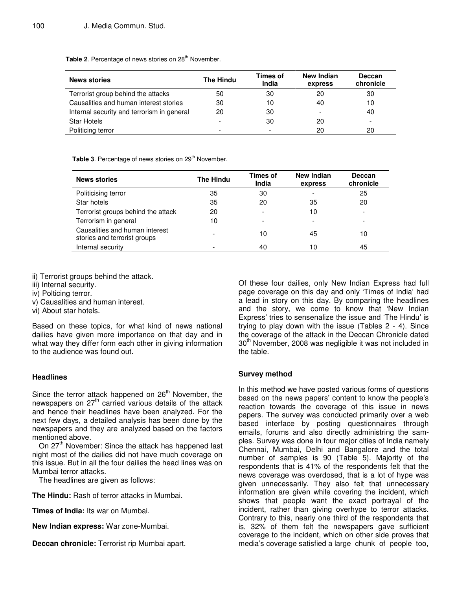Table 2. Percentage of news stories on 28<sup>th</sup> November.

| <b>News stories</b>                        | The Hindu | Times of<br>India        | New Indian<br>express | <b>Deccan</b><br>chronicle |
|--------------------------------------------|-----------|--------------------------|-----------------------|----------------------------|
| Terrorist group behind the attacks         | 50        | 30                       | 20                    | 30                         |
| Causalities and human interest stories     | 30        | 10                       | 40                    | 10                         |
| Internal security and terrorism in general | 20        | 30                       |                       | 40                         |
| <b>Star Hotels</b>                         |           | 30                       | 20                    |                            |
| Politicing terror                          | -         | $\overline{\phantom{0}}$ | 20                    | 20                         |

Table 3. Percentage of news stories on 29<sup>th</sup> November.

| <b>News stories</b>                                            | The Hindu | Times of<br>India | <b>New Indian</b><br>express | <b>Deccan</b><br>chronicle |
|----------------------------------------------------------------|-----------|-------------------|------------------------------|----------------------------|
| Politicising terror                                            | 35        | 30                |                              | 25                         |
| Star hotels                                                    | 35        | 20                | 35                           | 20                         |
| Terrorist groups behind the attack                             | 20        |                   | 10                           | ۰                          |
| Terrorism in general                                           | 10        |                   |                              | $\overline{\phantom{0}}$   |
| Causalities and human interest<br>stories and terrorist groups |           | 10                | 45                           | 10                         |
| Internal security                                              |           | 40                | 10                           | 45                         |

ii) Terrorist groups behind the attack.

- iii) Internal security.
- iv) Polticing terror.
- v) Causalities and human interest.
- vi) About star hotels.

Based on these topics, for what kind of news national dailies have given more importance on that day and in what way they differ form each other in giving information to the audience was found out.

## **Headlines**

Since the terror attack happened on 26<sup>th</sup> November, the newspapers on 27<sup>th</sup> carried various details of the attack and hence their headlines have been analyzed. For the next few days, a detailed analysis has been done by the newspapers and they are analyzed based on the factors mentioned above.

On 27<sup>th</sup> November: Since the attack has happened last night most of the dailies did not have much coverage on this issue. But in all the four dailies the head lines was on Mumbai terror attacks.

The headlines are given as follows:

**The Hindu:** Rash of terror attacks in Mumbai.

**Times of India:** Its war on Mumbai.

**New Indian express:** War zone-Mumbai.

**Deccan chronicle:** Terrorist rip Mumbai apart.

Of these four dailies, only New Indian Express had full page coverage on this day and only 'Times of India' had a lead in story on this day. By comparing the headlines and the story, we come to know that 'New Indian Express' tries to sensenalize the issue and 'The Hindu' is trying to play down with the issue (Tables 2 - 4). Since the coverage of the attack in the Deccan Chronicle dated 30<sup>th</sup> November, 2008 was negligible it was not included in the table.

## **Survey method**

In this method we have posted various forms of questions based on the news papers' content to know the people's reaction towards the coverage of this issue in news papers. The survey was conducted primarily over a web based interface by posting questionnaires through emails, forums and also directly administring the samples. Survey was done in four major cities of India namely Chennai, Mumbai, Delhi and Bangalore and the total number of samples is 90 (Table 5). Majority of the respondents that is 41% of the respondents felt that the news coverage was overdosed, that is a lot of hype was given unnecessarily. They also felt that unnecessary information are given while covering the incident, which shows that people want the exact portrayal of the incident, rather than giving overhype to terror attacks. Contrary to this, nearly one third of the respondents that is, 32% of them felt the newspapers gave sufficient coverage to the incident, which on other side proves that media's coverage satisfied a large chunk of people too,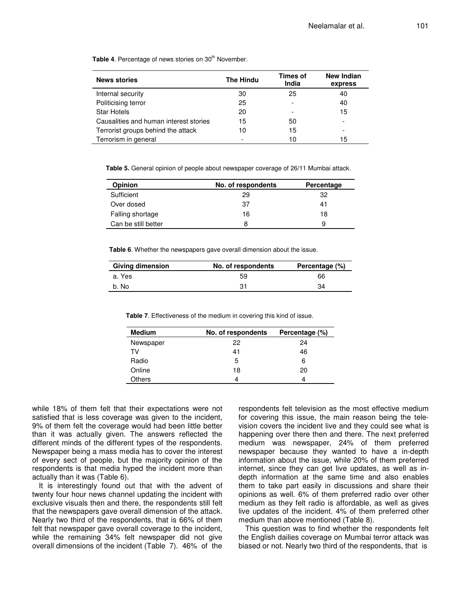| <b>News stories</b>                    | <b>The Hindu</b> | Times of<br>India        | <b>New Indian</b><br>express |
|----------------------------------------|------------------|--------------------------|------------------------------|
| Internal security                      | 30               | 25                       | 40                           |
| Politicising terror                    | 25               | ۰                        | 40                           |
| <b>Star Hotels</b>                     | 20               | $\overline{\phantom{0}}$ | 15                           |
| Causalities and human interest stories | 15               | 50                       | $\overline{\phantom{a}}$     |
| Terrorist groups behind the attack     | 10               | 15                       |                              |
| Terrorism in general                   | ٠                | 10                       | 15                           |

Table 4. Percentage of news stories on 30<sup>th</sup> November.

**Table 5.** General opinion of people about newspaper coverage of 26/11 Mumbai attack.

| <b>Opinion</b>      | No. of respondents | Percentage |
|---------------------|--------------------|------------|
| Sufficient          | 29                 | 32         |
| Over dosed          | 37                 | 41         |
| Falling shortage    | 16                 | 18         |
| Can be still better | 8                  | 9          |

**Table 6**. Whether the newspapers gave overall dimension about the issue.

| <b>Giving dimension</b> | No. of respondents | Percentage (%) |
|-------------------------|--------------------|----------------|
| a. Yes                  | 59                 | 66             |
| b. No                   | 31                 | 34             |

**Table 7**. Effectiveness of the medium in covering this kind of issue.

| <b>Medium</b> | No. of respondents | Percentage (%) |
|---------------|--------------------|----------------|
| Newspaper     | 22                 | 24             |
| TV            | 41                 | 46             |
| Radio         | 5                  | 6              |
| Online        | 18                 | 20             |
| Others        |                    | Δ              |

while 18% of them felt that their expectations were not satisfied that is less coverage was given to the incident, 9% of them felt the coverage would had been little better than it was actually given. The answers reflected the different minds of the different types of the respondents. Newspaper being a mass media has to cover the interest of every sect of people, but the majority opinion of the respondents is that media hyped the incident more than actually than it was (Table 6).

It is interestingly found out that with the advent of twenty four hour news channel updating the incident with exclusive visuals then and there, the respondents still felt that the newspapers gave overall dimension of the attack. Nearly two third of the respondents, that is 66% of them felt that newspaper gave overall coverage to the incident, while the remaining 34% felt newspaper did not give overall dimensions of the incident (Table 7). 46% of the respondents felt television as the most effective medium for covering this issue, the main reason being the television covers the incident live and they could see what is happening over there then and there. The next preferred medium was newspaper, 24% of them preferred newspaper because they wanted to have a in-depth information about the issue, while 20% of them preferred internet, since they can get live updates, as well as indepth information at the same time and also enables them to take part easily in discussions and share their opinions as well. 6% of them preferred radio over other medium as they felt radio is affordable, as well as gives live updates of the incident. 4% of them preferred other medium than above mentioned (Table 8).

This question was to find whether the respondents felt the English dailies coverage on Mumbai terror attack was biased or not. Nearly two third of the respondents, that is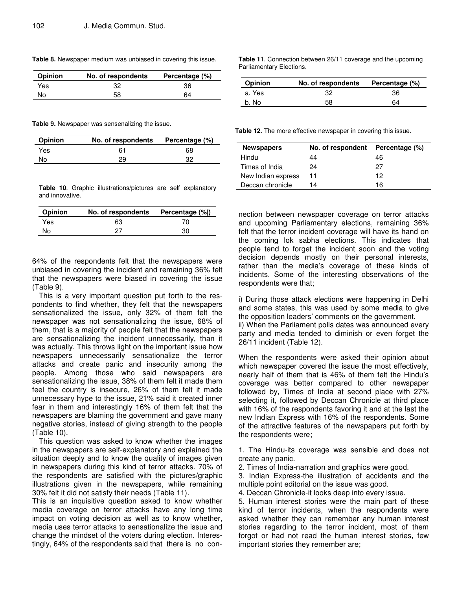| Opinion | No. of respondents | Percentage (%) |
|---------|--------------------|----------------|
| Yes     | 32                 | 36             |
| No      | 58                 | 64             |

**Table 8.** Newspaper medium was unbiased in covering this issue.

**Table 9.** Newspaper was sensenalizing the issue.

| <b>Opinion</b> | No. of respondents | Percentage (%) |
|----------------|--------------------|----------------|
| Yes            | 61                 | 68             |
| No             | 29                 | 32             |

**Table 10**. Graphic illustrations/pictures are self explanatory and innovative.

| <b>Opinion</b> | No. of respondents Percentage (%) |     |
|----------------|-----------------------------------|-----|
| Yes.           | 63                                | 70  |
| No             | 27                                | 30. |

64% of the respondents felt that the newspapers were unbiased in covering the incident and remaining 36% felt that the newspapers were biased in covering the issue (Table 9).

This is a very important question put forth to the respondents to find whether, they felt that the newspapers sensationalized the issue, only 32% of them felt the newspaper was not sensationalizing the issue, 68% of them, that is a majority of people felt that the newspapers are sensationalizing the incident unnecessarily, than it was actually. This throws light on the important issue how newspapers unnecessarily sensationalize the terror attacks and create panic and insecurity among the people. Among those who said newspapers are sensationalizing the issue, 38% of them felt it made them feel the country is insecure, 26% of them felt it made unnecessary hype to the issue, 21% said it created inner fear in them and interestingly 16% of them felt that the newspapers are blaming the government and gave many negative stories, instead of giving strength to the people (Table 10).

This question was asked to know whether the images in the newspapers are self-explanatory and explained the situation deeply and to know the quality of images given in newspapers during this kind of terror attacks. 70% of the respondents are satisfied with the pictures/graphic illustrations given in the newspapers, while remaining 30% felt it did not satisfy their needs (Table 11).

This is an inquisitive question asked to know whether media coverage on terror attacks have any long time impact on voting decision as well as to know whether, media uses terror attacks to sensationalize the issue and change the mindset of the voters during election. Interestingly, 64% of the respondents said that there is no con**Table 11**. Connection between 26/11 coverage and the upcoming Parliamentary Elections.

| <b>Opinion</b> | No. of respondents | Percentage (%) |
|----------------|--------------------|----------------|
| a. Yes         | 32                 | 36             |
| b. No          | 58                 | 64             |

**Table 12.** The more effective newspaper in covering this issue.

| <b>Newspapers</b>  | No. of respondent | Percentage (%) |
|--------------------|-------------------|----------------|
| Hindu              | 44                | 46             |
| Times of India     | 24                | 27             |
| New Indian express | 11                | 12             |
| Deccan chronicle   | 14                | 16             |

nection between newspaper coverage on terror attacks and upcoming Parliamentary elections, remaining 36% felt that the terror incident coverage will have its hand on the coming lok sabha elections. This indicates that people tend to forget the incident soon and the voting decision depends mostly on their personal interests, rather than the media's coverage of these kinds of incidents. Some of the interesting observations of the respondents were that;

i) During those attack elections were happening in Delhi and some states, this was used by some media to give the opposition leaders' comments on the government. ii) When the Parliament polls dates was announced every party and media tended to diminish or even forget the 26/11 incident (Table 12).

When the respondents were asked their opinion about which newspaper covered the issue the most effectively, nearly half of them that is 46% of them felt the Hindu's coverage was better compared to other newspaper followed by, Times of India at second place with 27% selecting it, followed by Deccan Chronicle at third place with 16% of the respondents favoring it and at the last the new Indian Express with 16% of the respondents. Some of the attractive features of the newspapers put forth by the respondents were;

1. The Hindu-its coverage was sensible and does not create any panic.

2. Times of India-narration and graphics were good.

3. Indian Express-the illustration of accidents and the multiple point editorial on the issue was good.

4. Deccan Chronicle-it looks deep into every issue.

5. Human interest stories were the main part of these kind of terror incidents, when the respondents were asked whether they can remember any human interest stories regarding to the terror incident, most of them forgot or had not read the human interest stories, few important stories they remember are;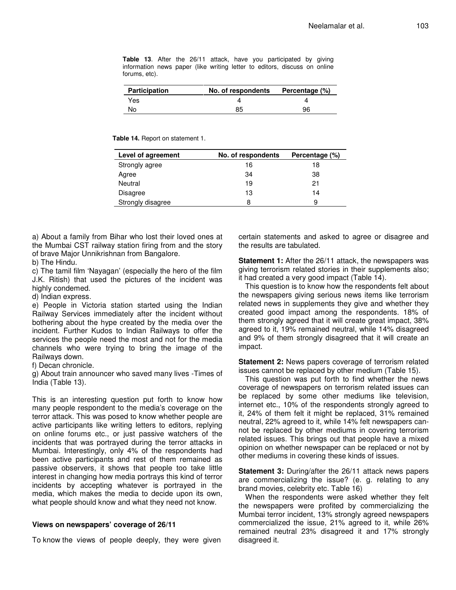**Table 13**. After the 26/11 attack, have you participated by giving information news paper (like writing letter to editors, discuss on online forums, etc).

| <b>Participation</b> | No. of respondents | Percentage (%) |
|----------------------|--------------------|----------------|
| Yes                  |                    |                |
| No                   | 85                 | 96             |

**Table 14.** Report on statement 1.

| Level of agreement | No. of respondents | Percentage (%) |
|--------------------|--------------------|----------------|
| Strongly agree     | 16                 | 18             |
| Agree              | 34                 | 38             |
| Neutral            | 19                 | 21             |
| Disagree           | 13                 | 14             |
| Strongly disagree  | 8                  | 9              |

a) About a family from Bihar who lost their loved ones at the Mumbai CST railway station firing from and the story of brave Major Unnikrishnan from Bangalore.

b) The Hindu.

c) The tamil film 'Nayagan' (especially the hero of the film J.K. Ritish) that used the pictures of the incident was highly condemed.

d) Indian express.

e) People in Victoria station started using the Indian Railway Services immediately after the incident without bothering about the hype created by the media over the incident. Further Kudos to Indian Railways to offer the services the people need the most and not for the media channels who were trying to bring the image of the Railways down.

f) Decan chronicle.

g) About train announcer who saved many lives -Times of India (Table 13).

This is an interesting question put forth to know how many people respondent to the media's coverage on the terror attack. This was posed to know whether people are active participants like writing letters to editors, replying on online forums etc., or just passive watchers of the incidents that was portrayed during the terror attacks in Mumbai. Interestingly, only 4% of the respondents had been active participants and rest of them remained as passive observers, it shows that people too take little interest in changing how media portrays this kind of terror incidents by accepting whatever is portrayed in the media, which makes the media to decide upon its own, what people should know and what they need not know.

#### **Views on newspapers' coverage of 26/11**

To know the views of people deeply, they were given

certain statements and asked to agree or disagree and the results are tabulated.

**Statement 1:** After the 26/11 attack, the newspapers was giving terrorism related stories in their supplements also; it had created a very good impact (Table 14).

This question is to know how the respondents felt about the newspapers giving serious news items like terrorism related news in supplements they give and whether they created good impact among the respondents. 18% of them strongly agreed that it will create great impact, 38% agreed to it, 19% remained neutral, while 14% disagreed and 9% of them strongly disagreed that it will create an impact.

**Statement 2:** News papers coverage of terrorism related issues cannot be replaced by other medium (Table 15).

This question was put forth to find whether the news coverage of newspapers on terrorism related issues can be replaced by some other mediums like television, internet etc., 10% of the respondents strongly agreed to it, 24% of them felt it might be replaced, 31% remained neutral, 22% agreed to it, while 14% felt newspapers cannot be replaced by other mediums in covering terrorism related issues. This brings out that people have a mixed opinion on whether newspaper can be replaced or not by other mediums in covering these kinds of issues.

**Statement 3:** During/after the 26/11 attack news papers are commercializing the issue? (e. g. relating to any brand movies, celebrity etc. Table 16)

When the respondents were asked whether they felt the newspapers were profited by commercializing the Mumbai terror incident, 13% strongly agreed newspapers commercialized the issue, 21% agreed to it, while 26% remained neutral 23% disagreed it and 17% strongly disagreed it.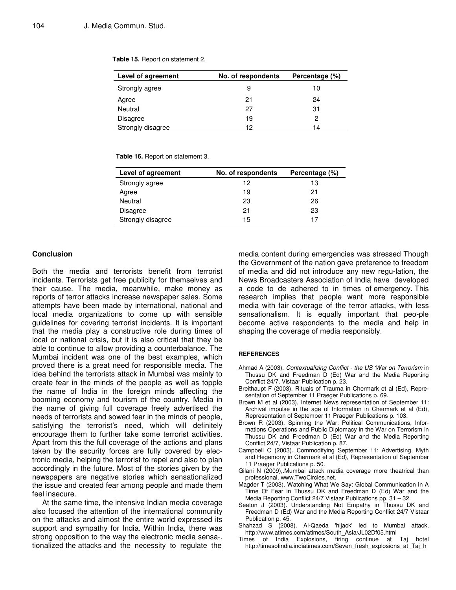| Level of agreement | No. of respondents | Percentage (%) |
|--------------------|--------------------|----------------|
| Strongly agree     | 9                  | 10             |
| Agree              | 21                 | 24             |
| Neutral            | 27                 | 31             |
| <b>Disagree</b>    | 19                 | 2              |
| Strongly disagree  | 12                 | 14             |

**Table 15.** Report on statement 2.

**Table 16.** Report on statement 3.

| Level of agreement | No. of respondents | Percentage (%) |
|--------------------|--------------------|----------------|
| Strongly agree     | 12                 | 13             |
| Agree              | 19                 | 21             |
| Neutral            | 23                 | 26             |
| <b>Disagree</b>    | 21                 | 23             |
| Strongly disagree  | 15                 | 17             |

#### **Conclusion**

Both the media and terrorists benefit from terrorist incidents. Terrorists get free publicity for themselves and their cause. The media, meanwhile, make money as reports of terror attacks increase newspaper sales. Some attempts have been made by international, national and local media organizations to come up with sensible guidelines for covering terrorist incidents. It is important that the media play a constructive role during times of local or national crisis, but it is also critical that they be able to continue to allow providing a counterbalance. The Mumbai incident was one of the best examples, which proved there is a great need for responsible media. The idea behind the terrorists attack in Mumbai was mainly to create fear in the minds of the people as well as topple the name of India in the foreign minds affecting the booming economy and tourism of the country. Media in the name of giving full coverage freely advertised the needs of terrorists and sowed fear in the minds of people, satisfying the terrorist's need, which will definitely encourage them to further take some terrorist activities. Apart from this the full coverage of the actions and plans taken by the security forces are fully covered by electronic media, helping the terrorist to repel and also to plan accordingly in the future. Most of the stories given by the newspapers are negative stories which sensationalized the issue and created fear among people and made them feel insecure.

At the same time, the intensive Indian media coverage also focused the attention of the international community on the attacks and almost the entire world expressed its support and sympathy for India. Within India, there was strong opposition to the way the electronic media sensa-. tionalized the attacks and the necessity to regulate the

media content during emergencies was stressed Though the Government of the nation gave preference to freedom of media and did not introduce any new regu-lation, the News Broadcasters Association of India have developed a code to de adhered to in times of emergency. This research implies that people want more responsible media with fair coverage of the terror attacks, with less sensationalism. It is equally important that peo-ple become active respondents to the media and help in shaping the coverage of media responsibly.

#### **REFERENCES**

- Ahmad A (2003). *Contextualizing Conflict - the US 'War on Terrorism* in Thussu DK and Freedman D (Ed) War and the Media Reporting Conflict 24/7, Vistaar Publication p. 23.
- Breithaupt F (2003). Rituals of Trauma in Chermark et al (Ed), Representation of September 11 Praeger Publications p. 69.
- Brown M et al (2003), Internet News representation of September 11: Archival impulse in the age of Information in Chermark et al (Ed), Representation of September 11 Praeger Publications p. 103.
- Brown R (2003). Spinning the War: Political Communications, Informations Operations and Public Diplomacy in the War on Terrorism in Thussu DK and Freedman D (Ed) War and the Media Reporting Conflict 24/7, Vistaar Publication p. 87.
- Campbell C (2003). Commodifying September 11: Advertising, Myth and Hegemony in Chermark et al (Ed), Representation of September 11 Praeger Publications p. 50.
- Gilani N (2009),.Mumbai attack media coverage more theatrical than professional, www.TwoCircles.net.
- Magder T (2003). Watching What We Say: Global Communication In A Time Of Fear in Thussu DK and Freedman D (Ed) War and the Media Reporting Conflict 24/7 Vistaar Publications pp. 31 – 32.
- Seaton J (2003). Understanding Not Empathy in Thussu DK and Freedman D (Ed) War and the Media Reporting Conflict 24/7 Vistaar Publication p. 45.
- Shahzad S (2008). Al-Qaeda 'hijack' led to Mumbai attack, http://www.atimes.com/atimes/South\_Asia/JL02Df05.html
- Times of India Explosions, firing continue at Taj hotel http://timesofindia.indiatimes.com/Seven\_fresh\_explosions\_at\_Taj\_h